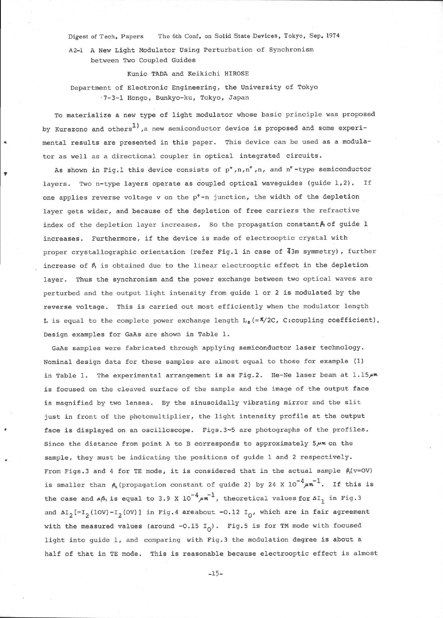Digest of Tech. Papers The 6th Conf. on Solid State Devices, Tokyo, Sep. 1974

Az-L A New Light Modulator Using Perturbation of Synchronism between Two Coupled Guides

Kunio TADA and Keikichi HIROSE

Department of Electronic Engineering, the University of Tokyo :7-3-1 Hongo, Bunkyo-ku, Tokyo, Japan

To materialize a new type of light modulator whose basic principle was proposed by Kurazono and others<sup>1</sup>, a new semiconductor device is proposed and some experimental results are presented in this paper. This device can be used as a modulator as welI as a directional coupler in optical integrated circuits.

As shown in Fig.1 this device consists of  $p^*$ ,  $n,n^*$ ,  $n$ , and  $n^*$ -type semiconductor layers. Two n-type layers operate as coupled optical waveguides (guide 1,2). If one applies reverse voltage  $v$  on the  $p<sup>+</sup>-n$  junction, the width of the depletion layer gets wider, and because of the depletion of free carriers the refractive index of the depletion layer increases. So the propagation constant  $A_i$  of guide 1 increases. Furthermore, if the device is made of electrooptic crystal with proper crystallographic orientation (refer Fig.l in case of 43m symmetry), further increase of  $\beta_1$  is obtained due to the linear electrooptic effect in the depletion 1ayer. Thus the synchronism and the power exchange between two optical waves are perturbed and the output light intensity from guide I or 2 is modulated by the reverse voltage. This is carried out most efficiently when the modulator length L is equal to the complete power exchange length  $L_0 = \frac{\pi}{2C}$ , C:coupling coefficient). Design examples for GaAs are shown in Table 1.

GaAs samples were fabricated through apptying semiconductor laser technology. Nominal design data for these samples are almost equal to those for example (1) in Table 1. The experimental arrangement is as Fig.2. He-Ne laser beam at  $1.15\mu$ m is focused on the cleaved surface of the sample and the image of the output face is magnified by two lenses. By the sinusoidally vibrating mirror and the slit just in front of the photomultiplier, the light intensity profile at the output face is displayed on an oscilloscope. Figs.3-5 are photographs of the profiles. Since the distance from point A to B corresponds to approximately  $5\mu$ m on the sample, they must be indicating the positions of guide I and 2 respectively. From Figs.3 and 4 for TE mode, it is considered that in the actual sample  $\beta_1(v=OV)$ is smaller than  $\beta_{\lambda}$  (propagation constant of guide 2) by 24 X  $10^{-4} \mu \text{m}^{-1}$ . If this is the case and  $\Delta\beta_1$  is equal to 3.9 X  $10^{-4}$  $\mu$ m<sup>-1</sup>, theoretical values for  $\Delta I_1$  in Fig.3 and  $\Delta I_2$ [=I<sub>2</sub>(IOV)-I<sub>2</sub>(OV)] in Fig.4 areabout -O.12 I<sub>O</sub>, which are in fair agreement with the measured values (around  $-0.15$  I<sub>O</sub>). Fig.5 is for TM mode with focused light into guide 1, and comparing with Fig.3 the modulation degree is about <sup>a</sup> half of that in TE mode. This is reasonable because electrooptic effect is almost

 $-15-$